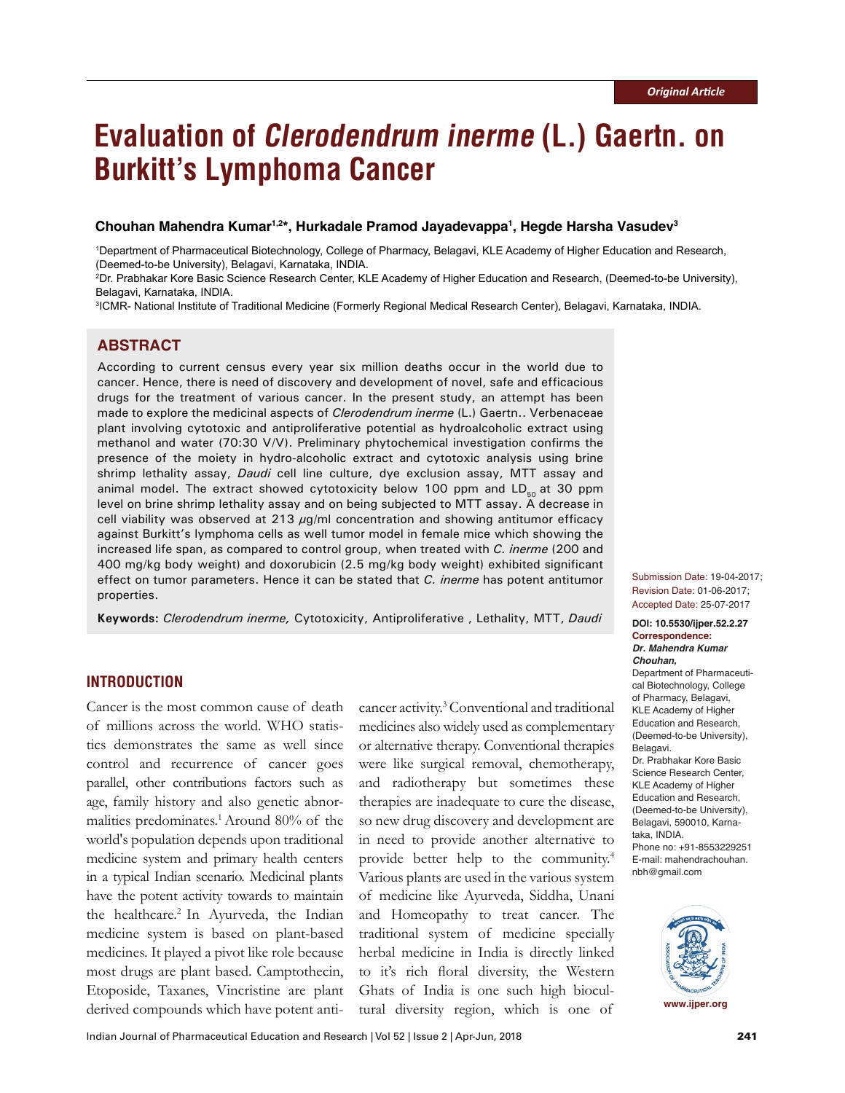# **Evaluation of Clerodendrum inerme (L.) Gaertn. on Burkitt's Lymphoma Cancer**

# **Chouhan Mahendra Kumar1,2\*, Hurkadale Pramod Jayadevappa1 , Hegde Harsha Vasudev3**

1 Department of Pharmaceutical Biotechnology, College of Pharmacy, Belagavi, KLE Academy of Higher Education and Research, (Deemed-to-be University), Belagavi, Karnataka, INDIA.

2 Dr. Prabhakar Kore Basic Science Research Center, KLE Academy of Higher Education and Research, (Deemed-to-be University), Belagavi, Karnataka, INDIA.

3 ICMR- National Institute of Traditional Medicine (Formerly Regional Medical Research Center), Belagavi, Karnataka, INDIA.

# **ABSTRACT**

According to current census every year six million deaths occur in the world due to cancer. Hence, there is need of discovery and development of novel, safe and efficacious drugs for the treatment of various cancer. In the present study, an attempt has been made to explore the medicinal aspects of *Clerodendrum inerme* (L.) Gaertn.. Verbenaceae plant involving cytotoxic and antiproliferative potential as hydroalcoholic extract using methanol and water (70:30 V/V). Preliminary phytochemical investigation confirms the presence of the moiety in hydro-alcoholic extract and cytotoxic analysis using brine shrimp lethality assay, *Daudi* cell line culture, dye exclusion assay, MTT assay and animal model. The extract showed cytotoxicity below 100 ppm and  $LD_{50}$  at 30 ppm level on brine shrimp lethality assay and on being subjected to MTT assay. A decrease in cell viability was observed at 213  $\mu$ g/ml concentration and showing antitumor efficacy against Burkitt's lymphoma cells as well tumor model in female mice which showing the increased life span, as compared to control group, when treated with *C. inerme* (200 and 400 mg/kg body weight) and doxorubicin (2.5 mg/kg body weight) exhibited significant effect on tumor parameters. Hence it can be stated that *C. inerme* has potent antitumor properties.

**Keywords:** *Clerodendrum inerme,* Cytotoxicity, Antiproliferative, Lethality, MTT, Daudi **DOI: 10.5530/ijper.52.2.27** 

# **INTRODUCTION**

Cancer is the most common cause of death of millions across the world. WHO statistics demonstrates the same as well since control and recurrence of cancer goes parallel, other contributions factors such as age, family history and also genetic abnormalities predominates.<sup>1</sup> Around 80% of the world's population depends upon traditional medicine system and primary health centers in a typical Indian scenario. Medicinal plants have the potent activity towards to maintain the healthcare.<sup>2</sup> In Ayurveda, the Indian medicine system is based on plant-based medicines. It played a pivot like role because most drugs are plant based. Camptothecin, Etoposide, Taxanes, Vincristine are plant derived compounds which have potent anti-

cancer activity.3 Conventional and traditional medicines also widely used as complementary or alternative therapy. Conventional therapies were like surgical removal, chemotherapy, and radiotherapy but sometimes these therapies are inadequate to cure the disease, so new drug discovery and development are in need to provide another alternative to provide better help to the community.4 Various plants are used in the various system of medicine like Ayurveda, Siddha, Unani and Homeopathy to treat cancer. The traditional system of medicine specially herbal medicine in India is directly linked to it's rich floral diversity, the Western Ghats of India is one such high biocultural diversity region, which is one of

Submission Date: 19-04-2017; Revision Date: 01-06-2017; Accepted Date: 25-07-2017

**Correspondence:** *Dr. Mahendra Kumar Chouhan,* Department of Pharmaceutical Biotechnology, College of Pharmacy, Belagavi, KLE Academy of Higher Education and Research, (Deemed-to-be University), Belagavi. Dr. Prabhakar Kore Basic Science Research Center, KLE Academy of Higher Education and Research, (Deemed-to-be University), Belagavi, 590010, Karnataka, INDIA. Phone no: +91-8553229251 E-mail: mahendrachouhan. nbh@gmail.com

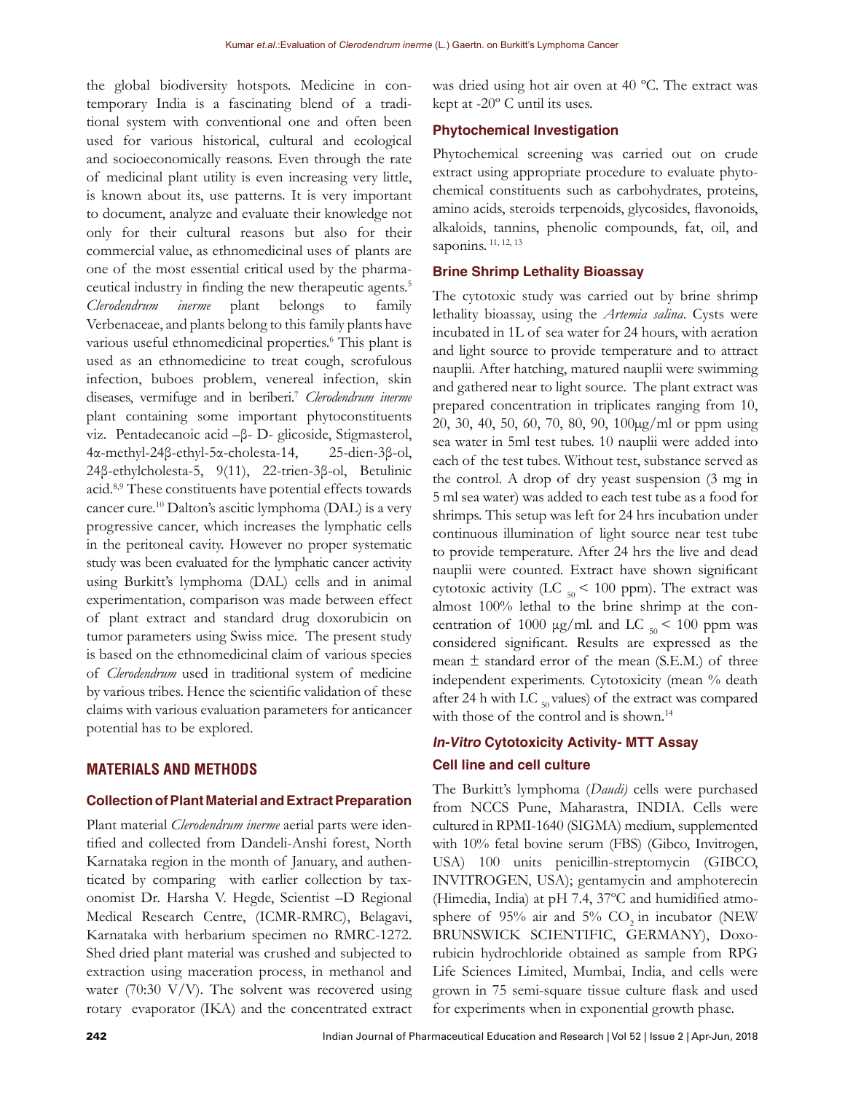the global biodiversity hotspots. Medicine in contemporary India is a fascinating blend of a traditional system with conventional one and often been used for various historical, cultural and ecological and socioeconomically reasons. Even through the rate of medicinal plant utility is even increasing very little, is known about its, use patterns. It is very important to document, analyze and evaluate their knowledge not only for their cultural reasons but also for their commercial value, as ethnomedicinal uses of plants are one of the most essential critical used by the pharmaceutical industry in finding the new therapeutic agents.<sup>5</sup> *Clerodendrum inerme* plant belongs to family Verbenaceae, and plants belong to this family plants have various useful ethnomedicinal properties.<sup>6</sup> This plant is used as an ethnomedicine to treat cough, scrofulous infection, buboes problem, venereal infection, skin diseases, vermifuge and in beriberi.7 *Clerodendrum inerme* plant containing some important phytoconstituents viz. Pentadecanoic acid –β- D- glicoside, Stigmasterol, 4α-methyl-24β-ethyl-5α-cholesta-14, 25-dien-3β-ol, 24β-ethylcholesta-5, 9(11), 22-trien-3β-ol, Betulinic acid.8,9 These constituents have potential effects towards cancer cure.10 Dalton's ascitic lymphoma (DAL) is a very progressive cancer, which increases the lymphatic cells in the peritoneal cavity. However no proper systematic study was been evaluated for the lymphatic cancer activity using Burkitt's lymphoma (DAL) cells and in animal experimentation, comparison was made between effect of plant extract and standard drug doxorubicin on tumor parameters using Swiss mice. The present study is based on the ethnomedicinal claim of various species of *Clerodendrum* used in traditional system of medicine by various tribes. Hence the scientific validation of these claims with various evaluation parameters for anticancer potential has to be explored.

# **MATERIALS AND METHODS**

#### **Collection of Plant Material and Extract Preparation**

Plant material *Clerodendrum inerme* aerial parts were identified and collected from Dandeli-Anshi forest, North Karnataka region in the month of January, and authenticated by comparing with earlier collection by taxonomist Dr. Harsha V. Hegde, Scientist –D Regional Medical Research Centre, (ICMR-RMRC), Belagavi, Karnataka with herbarium specimen no RMRC-1272. Shed dried plant material was crushed and subjected to extraction using maceration process, in methanol and water (70:30 V/V). The solvent was recovered using rotary evaporator (IKA) and the concentrated extract

was dried using hot air oven at 40 ºC. The extract was kept at -20º C until its uses.

### **Phytochemical Investigation**

Phytochemical screening was carried out on crude extract using appropriate procedure to evaluate phytochemical constituents such as carbohydrates, proteins, amino acids, steroids terpenoids, glycosides, flavonoids, alkaloids, tannins, phenolic compounds, fat, oil, and saponins.<sup>11, 12, 13</sup>

### **Brine Shrimp Lethality Bioassay**

The cytotoxic study was carried out by brine shrimp lethality bioassay, using the *Artemia salina*. Cysts were incubated in 1L of sea water for 24 hours, with aeration and light source to provide temperature and to attract nauplii. After hatching, matured nauplii were swimming and gathered near to light source. The plant extract was prepared concentration in triplicates ranging from 10, 20, 30, 40, 50, 60, 70, 80, 90, 100µg/ml or ppm using sea water in 5ml test tubes. 10 nauplii were added into each of the test tubes. Without test, substance served as the control. A drop of dry yeast suspension (3 mg in 5 ml sea water) was added to each test tube as a food for shrimps. This setup was left for 24 hrs incubation under continuous illumination of light source near test tube to provide temperature. After 24 hrs the live and dead nauplii were counted. Extract have shown significant cytotoxic activity (LC  $_{50}$  < 100 ppm). The extract was almost 100% lethal to the brine shrimp at the concentration of 1000  $\mu$ g/ml. and LC  $_{50}$  < 100 ppm was considered significant. Results are expressed as the mean  $\pm$  standard error of the mean (S.E.M.) of three independent experiments. Cytotoxicity (mean % death after 24 h with LC  $_{50}$  values) of the extract was compared with those of the control and is shown.<sup>14</sup>

# **In-Vitro Cytotoxicity Activity- MTT Assay Cell line and cell culture**

The Burkitt's lymphoma (*Daudi)* cells were purchased from NCCS Pune, Maharastra, INDIA. Cells were cultured in RPMI-1640 (SIGMA) medium, supplemented with 10% fetal bovine serum (FBS) (Gibco, Invitrogen, USA) 100 units penicillin-streptomycin (GIBCO, INVITROGEN, USA); gentamycin and amphoterecin (Himedia, India) at pH 7.4, 37ºC and humidified atmosphere of  $95\%$  air and  $5\%$  CO<sub>2</sub> in incubator (NEW BRUNSWICK SCIENTIFIC, GERMANY), Doxorubicin hydrochloride obtained as sample from RPG Life Sciences Limited, Mumbai, India, and cells were grown in 75 semi-square tissue culture flask and used for experiments when in exponential growth phase.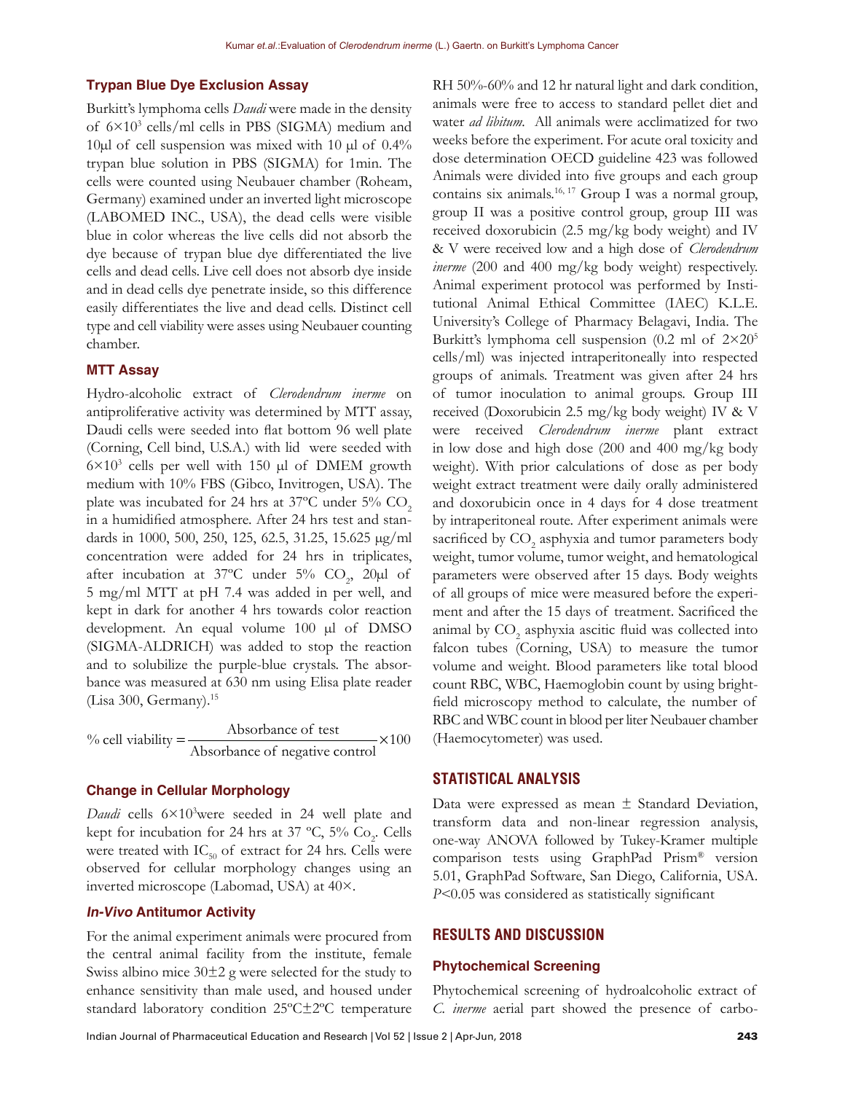#### **Trypan Blue Dye Exclusion Assay**

Burkitt's lymphoma cells *Daudi* were made in the density of 6×103 cells/ml cells in PBS (SIGMA) medium and 10 $\mu$ l of cell suspension was mixed with 10  $\mu$ l of 0.4% trypan blue solution in PBS (SIGMA) for 1min. The cells were counted using Neubauer chamber (Roheam, Germany) examined under an inverted light microscope (LABOMED INC., USA), the dead cells were visible blue in color whereas the live cells did not absorb the dye because of trypan blue dye differentiated the live cells and dead cells. Live cell does not absorb dye inside and in dead cells dye penetrate inside, so this difference easily differentiates the live and dead cells. Distinct cell type and cell viability were asses using Neubauer counting chamber.

#### **MTT Assay**

Hydro-alcoholic extract of *Clerodendrum inerme* on antiproliferative activity was determined by MTT assay, Daudi cells were seeded into flat bottom 96 well plate (Corning, Cell bind, U.S.A.) with lid were seeded with  $6 \times 10^3$  cells per well with 150  $\mu$ l of DMEM growth medium with 10% FBS (Gibco, Invitrogen, USA). The plate was incubated for 24 hrs at  $37^{\circ}$ C under  $5\%$  CO<sub>2</sub> in a humidified atmosphere. After 24 hrs test and standards in 1000, 500, 250, 125, 62.5, 31.25, 15.625 µg/ml concentration were added for 24 hrs in triplicates, after incubation at 37°C under  $5\%$  CO<sub>2</sub>, 20 $\mu$ l of 5 mg/ml MTT at pH 7.4 was added in per well, and kept in dark for another 4 hrs towards color reaction development. An equal volume 100 µl of DMSO (SIGMA-ALDRICH) was added to stop the reaction and to solubilize the purple-blue crystals. The absorbance was measured at 630 nm using Elisa plate reader (Lisa 300, Germany).<sup>15</sup>

% cell viability  $=\frac{\text{Absorbane of test}}{1.1 \times 100} \times 100$ Absorbance of negative control  $=\frac{10,00,00}{100,000}$   $\times$ 

#### **Change in Cellular Morphology**

Daudi cells  $6 \times 10^3$ were seeded in 24 well plate and kept for incubation for 24 hrs at 37 °C,  $5\%$  Co<sub>2</sub>. Cells were treated with  $IC_{50}$  of extract for 24 hrs. Cells were observed for cellular morphology changes using an inverted microscope (Labomad, USA) at 40×.

### **In-Vivo Antitumor Activity**

For the animal experiment animals were procured from the central animal facility from the institute, female Swiss albino mice  $30\pm 2$  g were selected for the study to enhance sensitivity than male used, and housed under standard laboratory condition 25ºC±2ºC temperature

RH 50%-60% and 12 hr natural light and dark condition, animals were free to access to standard pellet diet and water *ad libitum.* All animals were acclimatized for two weeks before the experiment. For acute oral toxicity and dose determination OECD guideline 423 was followed Animals were divided into five groups and each group contains six animals.<sup>16, 17</sup> Group I was a normal group, group II was a positive control group, group III was received doxorubicin (2.5 mg/kg body weight) and IV & V were received low and a high dose of *Clerodendrum inerme* (200 and 400 mg/kg body weight) respectively. Animal experiment protocol was performed by Institutional Animal Ethical Committee (IAEC) K.L.E. University's College of Pharmacy Belagavi, India. The Burkitt's lymphoma cell suspension (0.2 ml of 2×20<sup>5</sup> cells/ml) was injected intraperitoneally into respected groups of animals. Treatment was given after 24 hrs of tumor inoculation to animal groups. Group III received (Doxorubicin 2.5 mg/kg body weight) IV & V were received *Clerodendrum inerme* plant extract in low dose and high dose (200 and 400 mg/kg body weight). With prior calculations of dose as per body weight extract treatment were daily orally administered and doxorubicin once in 4 days for 4 dose treatment by intraperitoneal route. After experiment animals were sacrificed by  $\mathrm{CO}_2$  asphyxia and tumor parameters body weight, tumor volume, tumor weight, and hematological parameters were observed after 15 days. Body weights of all groups of mice were measured before the experiment and after the 15 days of treatment. Sacrificed the animal by  $\mathrm{CO}_2$  asphyxia ascitic fluid was collected into falcon tubes (Corning, USA) to measure the tumor volume and weight. Blood parameters like total blood count RBC, WBC, Haemoglobin count by using brightfield microscopy method to calculate, the number of RBC and WBC count in blood per liter Neubauer chamber (Haemocytometer) was used.

#### **STATISTICAL ANALYSIS**

Data were expressed as mean  $\pm$  Standard Deviation, transform data and non-linear regression analysis, one-way ANOVA followed by Tukey-Kramer multiple comparison tests using GraphPad Prism® version 5.01, GraphPad Software, San Diego, California, USA. *P<*0.05 was considered as statistically significant

#### **RESULTS AND DISCUSSION**

#### **Phytochemical Screening**

Phytochemical screening of hydroalcoholic extract of *C. inerme* aerial part showed the presence of carbo-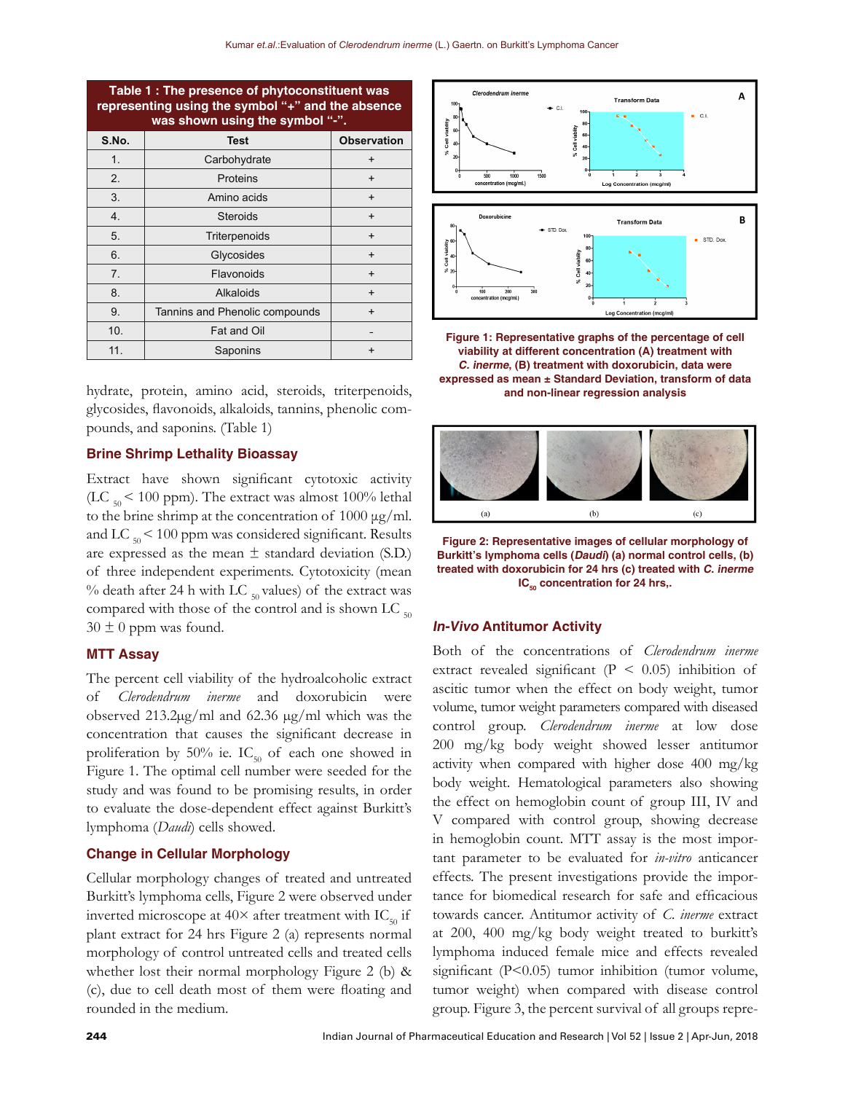| Table 1 : The presence of phytoconstituent was<br>representing using the symbol "+" and the absence<br>was shown using the symbol "-". |                                |                    |
|----------------------------------------------------------------------------------------------------------------------------------------|--------------------------------|--------------------|
| S.No.                                                                                                                                  | <b>Test</b>                    | <b>Observation</b> |
| 1.                                                                                                                                     | Carbohydrate                   | $\ddot{}$          |
| 2.                                                                                                                                     | Proteins                       | $\ddot{}$          |
| 3.                                                                                                                                     | Amino acids                    | $\ddot{}$          |
| 4.                                                                                                                                     | <b>Steroids</b>                | $\ddot{}$          |
| 5.                                                                                                                                     | Triterpenoids                  | $\ddot{}$          |
| 6.                                                                                                                                     | Glycosides                     | $\ddot{}$          |
| 7.                                                                                                                                     | Flavonoids                     | $\ddot{}$          |
| 8.                                                                                                                                     | Alkaloids                      | $\ddot{}$          |
| 9.                                                                                                                                     | Tannins and Phenolic compounds | $\ddot{}$          |
| 10.                                                                                                                                    | Fat and Oil                    |                    |
| 11.                                                                                                                                    | Saponins                       |                    |

hydrate, protein, amino acid, steroids, triterpenoids, glycosides, flavonoids, alkaloids, tannins, phenolic compounds, and saponins. (Table 1)

# **Brine Shrimp Lethality Bioassay**

Extract have shown significant cytotoxic activity (LC  $_{50}$  < 100 ppm). The extract was almost 100% lethal to the brine shrimp at the concentration of 1000 μg/ml. and LC  $_{50}$  < 100 ppm was considered significant. Results are expressed as the mean  $\pm$  standard deviation (S.D.) of three independent experiments. Cytotoxicity (mean % death after 24 h with LC  $_{50}$  values) of the extract was compared with those of the control and is shown LC  $_{50}$  $30 \pm 0$  ppm was found.

### **MTT Assay**

The percent cell viability of the hydroalcoholic extract of *Clerodendrum inerme* and doxorubicin were observed 213.2µg/ml and 62.36 µg/ml which was the concentration that causes the significant decrease in proliferation by 50% ie.  $IC_{50}$  of each one showed in Figure 1. The optimal cell number were seeded for the study and was found to be promising results, in order to evaluate the dose-dependent effect against Burkitt's lymphoma (*Daudi*) cells showed.

#### **Change in Cellular Morphology**

Cellular morphology changes of treated and untreated Burkitt's lymphoma cells, Figure 2 were observed under inverted microscope at  $40\times$  after treatment with IC<sub>50</sub> if plant extract for 24 hrs Figure 2 (a) represents normal morphology of control untreated cells and treated cells whether lost their normal morphology Figure 2 (b) & (c), due to cell death most of them were floating and rounded in the medium.



**Figure 1: Representative graphs of the percentage of cell viability at different concentration (A) treatment with C. inerme, (B) treatment with doxorubicin, data were expressed as mean ± Standard Deviation, transform of data and non-linear regression analysis**



**Figure 2: Representative images of cellular morphology of Burkitt's lymphoma cells (Daudi) (a) normal control cells, (b) treated with doxorubicin for 24 hrs (c) treated with C. inerme IC<sub>50</sub>** concentration for 24 hrs,.

#### **In-Vivo Antitumor Activity**

Both of the concentrations of *Clerodendrum inerme* extract revealed significant  $(P < 0.05)$  inhibition of ascitic tumor when the effect on body weight, tumor volume, tumor weight parameters compared with diseased control group. *Clerodendrum inerme* at low dose 200 mg/kg body weight showed lesser antitumor activity when compared with higher dose 400 mg/kg body weight. Hematological parameters also showing the effect on hemoglobin count of group III, IV and V compared with control group, showing decrease in hemoglobin count. MTT assay is the most important parameter to be evaluated for *in-vitro* anticancer effects. The present investigations provide the importance for biomedical research for safe and efficacious towards cancer. Antitumor activity of *C. inerme* extract at 200, 400 mg/kg body weight treated to burkitt's lymphoma induced female mice and effects revealed significant (P<0.05) tumor inhibition (tumor volume, tumor weight) when compared with disease control group. Figure 3, the percent survival of all groups repre-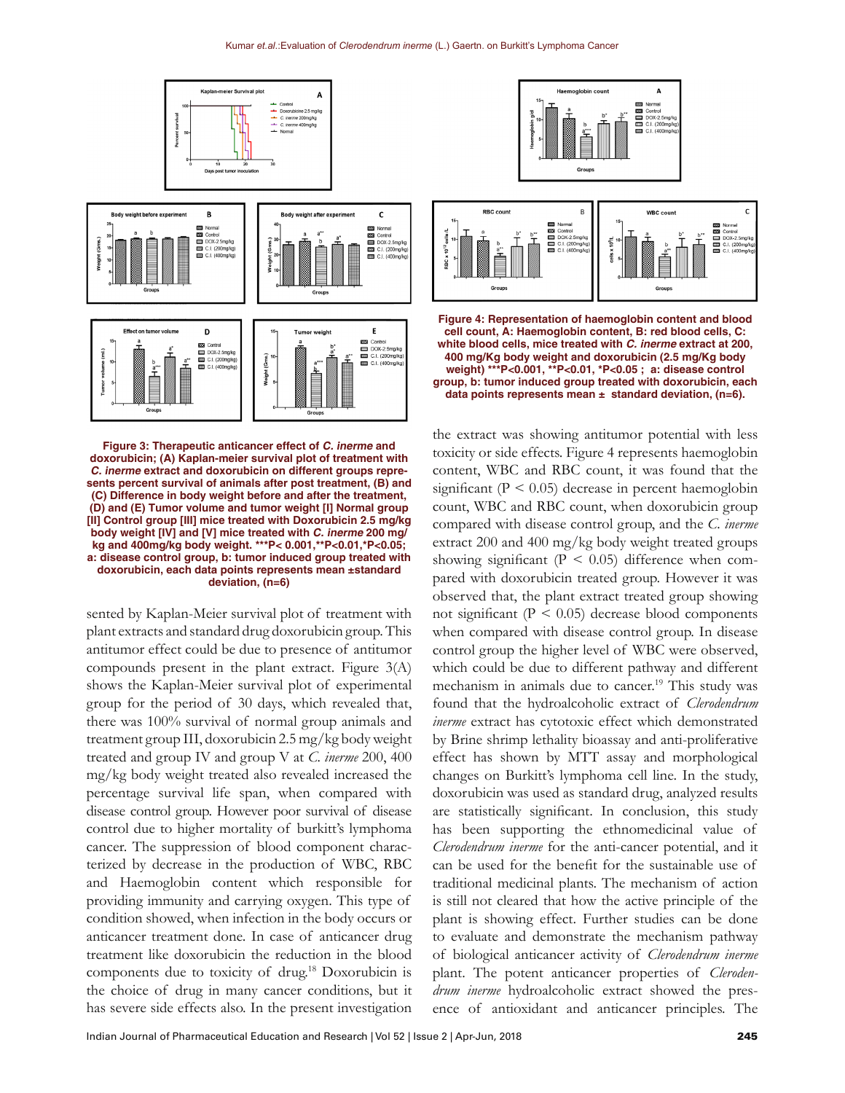

**Figure 3: Therapeutic anticancer effect of C. inerme and doxorubicin; (A) Kaplan-meier survival plot of treatment with C. inerme extract and doxorubicin on different groups represents percent survival of animals after post treatment, (B) and (C) Difference in body weight before and after the treatment, (D) and (E) Tumor volume and tumor weight [I] Normal group [II] Control group [III] mice treated with Doxorubicin 2.5 mg/kg body weight [IV] and [V] mice treated with C. inerme 200 mg/ kg and 400mg/kg body weight. \*\*\*P< 0.001,\*\*P<0.01,\*P<0.05; a: disease control group, b: tumor induced group treated with doxorubicin, each data points represents mean ±standard deviation, (n=6)**

sented by Kaplan-Meier survival plot of treatment with plant extracts and standard drug doxorubicin group. This antitumor effect could be due to presence of antitumor compounds present in the plant extract. Figure 3(A) shows the Kaplan-Meier survival plot of experimental group for the period of 30 days, which revealed that, there was 100% survival of normal group animals and treatment group III, doxorubicin 2.5 mg/kg body weight treated and group IV and group V at *C. inerme* 200, 400 mg/kg body weight treated also revealed increased the percentage survival life span, when compared with disease control group. However poor survival of disease control due to higher mortality of burkitt's lymphoma cancer. The suppression of blood component characterized by decrease in the production of WBC, RBC and Haemoglobin content which responsible for providing immunity and carrying oxygen. This type of condition showed, when infection in the body occurs or anticancer treatment done. In case of anticancer drug treatment like doxorubicin the reduction in the blood components due to toxicity of drug.18 Doxorubicin is the choice of drug in many cancer conditions, but it has severe side effects also. In the present investigation





**Figure 4: Representation of haemoglobin content and blood cell count, A: Haemoglobin content, B: red blood cells, C: white blood cells, mice treated with** *C. inerme* **extract at 200, 400 mg/Kg body weight and doxorubicin (2.5 mg/Kg body weight) \*\*\*P<0.001, \*\*P<0.01, \*P<0.05 ; a: disease control group, b: tumor induced group treated with doxorubicin, each data points represents mean ± standard deviation, (n=6).**

the extract was showing antitumor potential with less toxicity or side effects. Figure 4 represents haemoglobin content, WBC and RBC count, it was found that the significant ( $P < 0.05$ ) decrease in percent haemoglobin count, WBC and RBC count, when doxorubicin group compared with disease control group, and the *C. inerme* extract 200 and 400 mg/kg body weight treated groups showing significant ( $P < 0.05$ ) difference when compared with doxorubicin treated group. However it was observed that, the plant extract treated group showing not significant ( $P < 0.05$ ) decrease blood components when compared with disease control group. In disease control group the higher level of WBC were observed, which could be due to different pathway and different mechanism in animals due to cancer.<sup>19</sup> This study was found that the hydroalcoholic extract of *Clerodendrum inerme* extract has cytotoxic effect which demonstrated by Brine shrimp lethality bioassay and anti-proliferative effect has shown by MTT assay and morphological changes on Burkitt's lymphoma cell line. In the study, doxorubicin was used as standard drug, analyzed results are statistically significant. In conclusion, this study has been supporting the ethnomedicinal value of *Clerodendrum inerme* for the anti-cancer potential, and it can be used for the benefit for the sustainable use of traditional medicinal plants. The mechanism of action is still not cleared that how the active principle of the plant is showing effect. Further studies can be done to evaluate and demonstrate the mechanism pathway of biological anticancer activity of *Clerodendrum inerme* plant. The potent anticancer properties of *Clerodendrum inerme* hydroalcoholic extract showed the presence of antioxidant and anticancer principles. The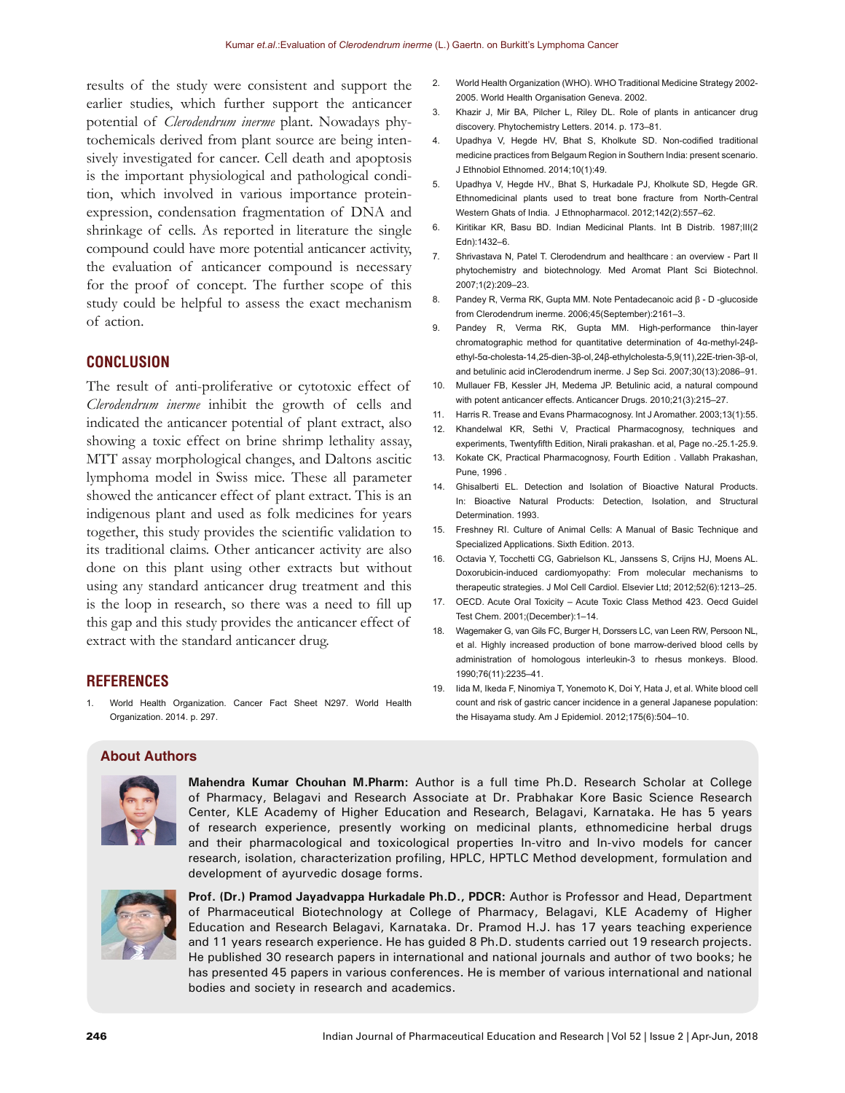results of the study were consistent and support the earlier studies, which further support the anticancer potential of *Clerodendrum inerme* plant. Nowadays phytochemicals derived from plant source are being intensively investigated for cancer. Cell death and apoptosis is the important physiological and pathological condition, which involved in various importance proteinexpression, condensation fragmentation of DNA and shrinkage of cells. As reported in literature the single compound could have more potential anticancer activity, the evaluation of anticancer compound is necessary for the proof of concept. The further scope of this study could be helpful to assess the exact mechanism of action.

#### **CONCLUSION**

The result of anti-proliferative or cytotoxic effect of *Clerodendrum inerme* inhibit the growth of cells and indicated the anticancer potential of plant extract, also showing a toxic effect on brine shrimp lethality assay, MTT assay morphological changes, and Daltons ascitic lymphoma model in Swiss mice. These all parameter showed the anticancer effect of plant extract. This is an indigenous plant and used as folk medicines for years together, this study provides the scientific validation to its traditional claims. Other anticancer activity are also done on this plant using other extracts but without using any standard anticancer drug treatment and this is the loop in research, so there was a need to fill up this gap and this study provides the anticancer effect of extract with the standard anticancer drug.

#### **REFERENCES**

1. World Health Organization. Cancer Fact Sheet N297. World Health Organization. 2014. p. 297.

- 2. World Health Organization (WHO). WHO Traditional Medicine Strategy 2002- 2005. World Health Organisation Geneva. 2002.
- 3. Khazir J, Mir BA, Pilcher L, Riley DL. Role of plants in anticancer drug discovery. Phytochemistry Letters. 2014. p. 173–81.
- 4. Upadhya V, Hegde HV, Bhat S, Kholkute SD. Non-codified traditional medicine practices from Belgaum Region in Southern India: present scenario. J Ethnobiol Ethnomed. 2014;10(1):49.
- 5. Upadhya V, Hegde HV., Bhat S, Hurkadale PJ, Kholkute SD, Hegde GR. Ethnomedicinal plants used to treat bone fracture from North-Central Western Ghats of India. J Ethnopharmacol. 2012;142(2):557–62.
- 6. Kiritikar KR, Basu BD. Indian Medicinal Plants. Int B Distrib. 1987;III(2 Edn):1432–6.
- 7. Shrivastava N, Patel T. Clerodendrum and healthcare : an overview Part II phytochemistry and biotechnology. Med Aromat Plant Sci Biotechnol. 2007;1(2):209–23.
- 8. Pandey R, Verma RK, Gupta MM. Note Pentadecanoic acid β D -glucoside from Clerodendrum inerme. 2006;45(September):2161–3.
- 9. Pandey R, Verma RK, Gupta MM. High-performance thin-layer chromatographic method for quantitative determination of 4α-methyl-24βethyl-5α-cholesta-14,25-dien-3β-ol, 24β-ethylcholesta-5,9(11),22E-trien-3β-ol, and betulinic acid inClerodendrum inerme. J Sep Sci. 2007;30(13):2086–91.
- 10. Mullauer FB, Kessler JH, Medema JP. Betulinic acid, a natural compound with potent anticancer effects. Anticancer Drugs. 2010;21(3):215–27.
- 11. Harris R. Trease and Evans Pharmacognosy. Int J Aromather. 2003;13(1):55.
- 12. Khandelwal KR, Sethi V, Practical Pharmacognosy, techniques and experiments, Twentyfifth Edition, Nirali prakashan. et al, Page no.-25.1-25.9.
- 13. Kokate CK, Practical Pharmacognosy, Fourth Edition . Vallabh Prakashan, Pune, 1996 .
- 14. Ghisalberti EL. Detection and Isolation of Bioactive Natural Products. In: Bioactive Natural Products: Detection, Isolation, and Structural Determination. 1993.
- 15. Freshney RI. Culture of Animal Cells: A Manual of Basic Technique and Specialized Applications. Sixth Edition. 2013.
- 16. Octavia Y, Tocchetti CG, Gabrielson KL, Janssens S, Crijns HJ, Moens AL. Doxorubicin-induced cardiomyopathy: From molecular mechanisms to therapeutic strategies. J Mol Cell Cardiol. Elsevier Ltd; 2012;52(6):1213–25.
- 17. OECD. Acute Oral Toxicity Acute Toxic Class Method 423. Oecd Guidel Test Chem. 2001;(December):1–14.
- 18. Wagemaker G, van Gils FC, Burger H, Dorssers LC, van Leen RW, Persoon NL, et al. Highly increased production of bone marrow-derived blood cells by administration of homologous interleukin-3 to rhesus monkeys. Blood. 1990;76(11):2235–41.
- 19. Iida M, Ikeda F, Ninomiya T, Yonemoto K, Doi Y, Hata J, et al. White blood cell count and risk of gastric cancer incidence in a general Japanese population: the Hisayama study. Am J Epidemiol. 2012;175(6):504–10.

# **About Authors**



**Mahendra Kumar Chouhan M.Pharm:** Author is a full time Ph.D. Research Scholar at College of Pharmacy, Belagavi and Research Associate at Dr. Prabhakar Kore Basic Science Research Center, KLE Academy of Higher Education and Research, Belagavi, Karnataka. He has 5 years of research experience, presently working on medicinal plants, ethnomedicine herbal drugs and their pharmacological and toxicological properties In-vitro and In-vivo models for cancer research, isolation, characterization profiling, HPLC, HPTLC Method development, formulation and development of ayurvedic dosage forms.



**Prof. (Dr.) Pramod Jayadvappa Hurkadale Ph.D., PDCR:** Author is Professor and Head, Department of Pharmaceutical Biotechnology at College of Pharmacy, Belagavi, KLE Academy of Higher Education and Research Belagavi, Karnataka. Dr. Pramod H.J. has 17 years teaching experience and 11 years research experience. He has guided 8 Ph.D. students carried out 19 research projects. He published 30 research papers in international and national journals and author of two books; he has presented 45 papers in various conferences. He is member of various international and national bodies and society in research and academics.